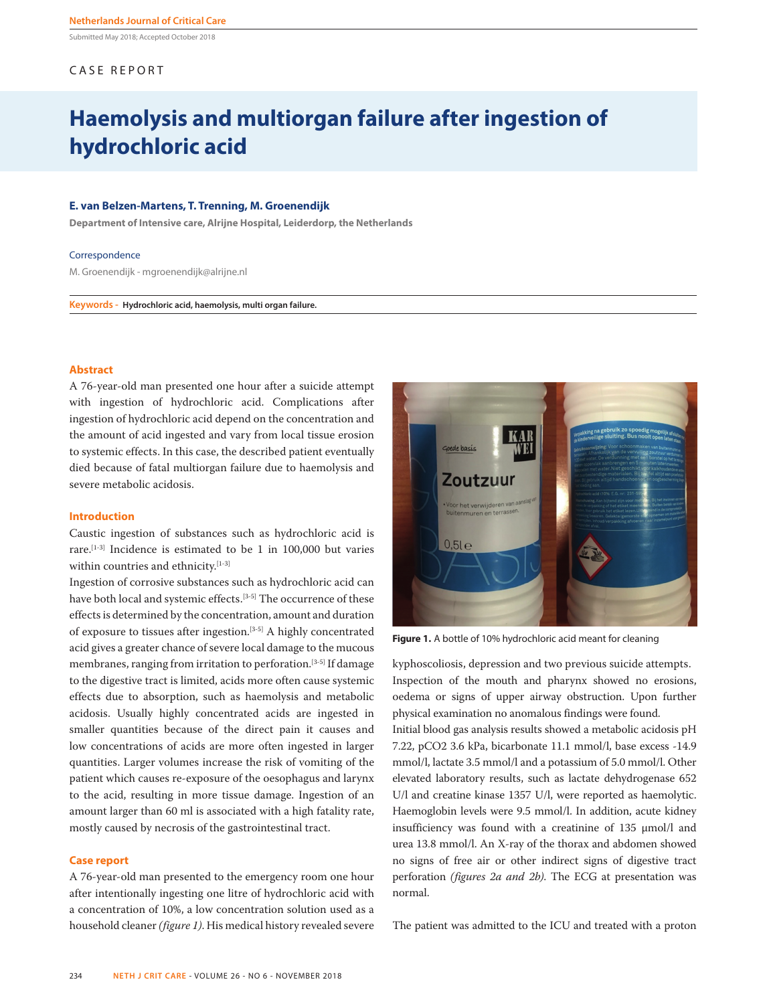Submitted May 2018; Accepted October 2018

## CASE REPORT

# **Haemolysis and multiorgan failure after ingestion of hydrochloric acid**

#### **E. van Belzen-Martens, T. Trenning, M. Groenendijk**

**Department of Intensive care, Alrijne Hospital, Leiderdorp, the Netherlands**

#### Correspondence

M. Groenendijk - mgroenendijk@alrijne.nl

**Keywords - Hydrochloric acid, haemolysis, multi organ failure.** 

#### **Abstract**

A 76-year-old man presented one hour after a suicide attempt with ingestion of hydrochloric acid. Complications after ingestion of hydrochloric acid depend on the concentration and the amount of acid ingested and vary from local tissue erosion to systemic effects. In this case, the described patient eventually died because of fatal multiorgan failure due to haemolysis and severe metabolic acidosis.

#### **Introduction**

Caustic ingestion of substances such as hydrochloric acid is rare.[1-3] Incidence is estimated to be 1 in 100,000 but varies within countries and ethnicity.<sup>[1-3]</sup>

Ingestion of corrosive substances such as hydrochloric acid can have both local and systemic effects.<sup>[3-5]</sup> The occurrence of these effects is determined by the concentration, amount and duration of exposure to tissues after ingestion.[3-5] A highly concentrated acid gives a greater chance of severe local damage to the mucous membranes, ranging from irritation to perforation.[3-5] If damage to the digestive tract is limited, acids more often cause systemic effects due to absorption, such as haemolysis and metabolic acidosis. Usually highly concentrated acids are ingested in smaller quantities because of the direct pain it causes and low concentrations of acids are more often ingested in larger quantities. Larger volumes increase the risk of vomiting of the patient which causes re-exposure of the oesophagus and larynx to the acid, resulting in more tissue damage. Ingestion of an amount larger than 60 ml is associated with a high fatality rate, mostly caused by necrosis of the gastrointestinal tract.

## **Case report**

A 76-year-old man presented to the emergency room one hour after intentionally ingesting one litre of hydrochloric acid with a concentration of 10%, a low concentration solution used as a household cleaner *(figure 1)*. His medical history revealed severe



**Figure 1.** A bottle of 10% hydrochloric acid meant for cleaning

kyphoscoliosis, depression and two previous suicide attempts. Inspection of the mouth and pharynx showed no erosions, oedema or signs of upper airway obstruction. Upon further physical examination no anomalous findings were found.

Initial blood gas analysis results showed a metabolic acidosis pH 7.22, pCO2 3.6 kPa, bicarbonate 11.1 mmol/l, base excess -14.9 mmol/l, lactate 3.5 mmol/l and a potassium of 5.0 mmol/l. Other elevated laboratory results, such as lactate dehydrogenase 652 U/l and creatine kinase 1357 U/l, were reported as haemolytic. Haemoglobin levels were 9.5 mmol/l. In addition, acute kidney insufficiency was found with a creatinine of 135 µmol/l and urea 13.8 mmol/l. An X-ray of the thorax and abdomen showed no signs of free air or other indirect signs of digestive tract perforation *(figures 2a and 2b)*. The ECG at presentation was normal.

The patient was admitted to the ICU and treated with a proton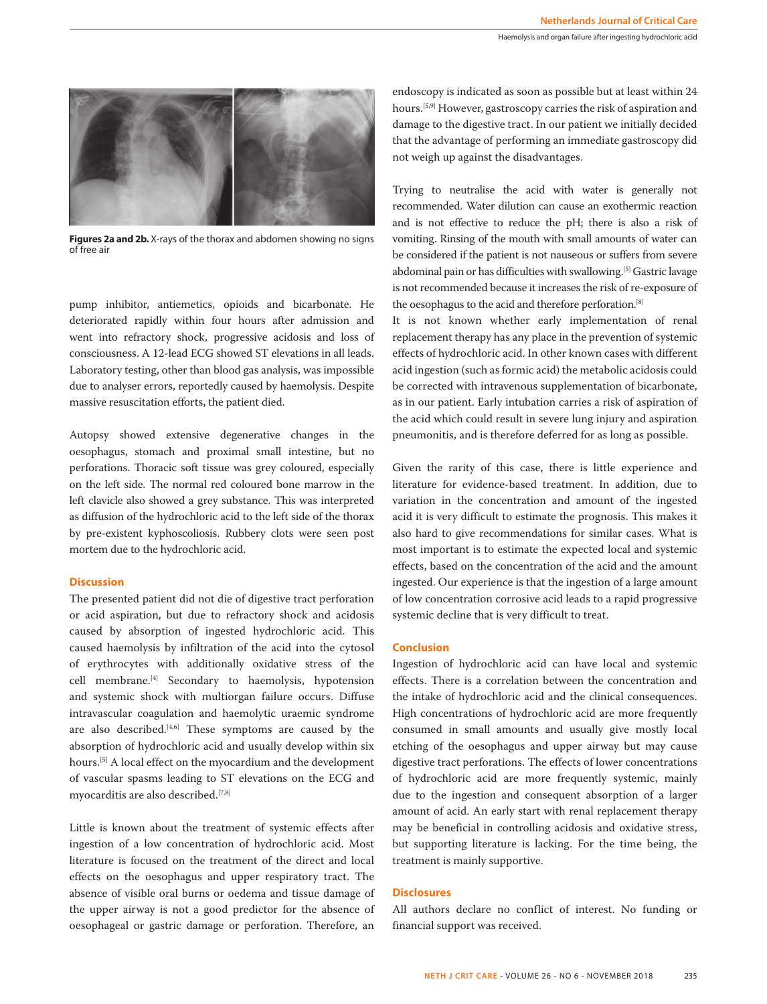

**Figures 2a and 2b.** X-rays of the thorax and abdomen showing no signs of free air

pump inhibitor, antiemetics, opioids and bicarbonate. He deteriorated rapidly within four hours after admission and went into refractory shock, progressive acidosis and loss of consciousness. A 12-lead ECG showed ST elevations in all leads. Laboratory testing, other than blood gas analysis, was impossible due to analyser errors, reportedly caused by haemolysis. Despite massive resuscitation efforts, the patient died.

Autopsy showed extensive degenerative changes in the oesophagus, stomach and proximal small intestine, but no perforations. Thoracic soft tissue was grey coloured, especially on the left side. The normal red coloured bone marrow in the left clavicle also showed a grey substance. This was interpreted as diffusion of the hydrochloric acid to the left side of the thorax by pre-existent kyphoscoliosis. Rubbery clots were seen post mortem due to the hydrochloric acid.

#### **Discussion**

The presented patient did not die of digestive tract perforation or acid aspiration, but due to refractory shock and acidosis caused by absorption of ingested hydrochloric acid. This caused haemolysis by infiltration of the acid into the cytosol of erythrocytes with additionally oxidative stress of the cell membrane.[4] Secondary to haemolysis, hypotension and systemic shock with multiorgan failure occurs. Diffuse intravascular coagulation and haemolytic uraemic syndrome are also described.<sup>[4,6]</sup> These symptoms are caused by the absorption of hydrochloric acid and usually develop within six hours.[5] A local effect on the myocardium and the development of vascular spasms leading to ST elevations on the ECG and myocarditis are also described.[7,8]

Little is known about the treatment of systemic effects after ingestion of a low concentration of hydrochloric acid. Most literature is focused on the treatment of the direct and local effects on the oesophagus and upper respiratory tract. The absence of visible oral burns or oedema and tissue damage of the upper airway is not a good predictor for the absence of oesophageal or gastric damage or perforation. Therefore, an

endoscopy is indicated as soon as possible but at least within 24 hours.[5,9] However, gastroscopy carries the risk of aspiration and damage to the digestive tract. In our patient we initially decided that the advantage of performing an immediate gastroscopy did not weigh up against the disadvantages.

Trying to neutralise the acid with water is generally not recommended. Water dilution can cause an exothermic reaction and is not effective to reduce the pH; there is also a risk of vomiting. Rinsing of the mouth with small amounts of water can be considered if the patient is not nauseous or suffers from severe abdominal pain or has difficulties with swallowing.<sup>[5]</sup> Gastric lavage is not recommended because it increases the risk of re-exposure of the oesophagus to the acid and therefore perforation.[8]

It is not known whether early implementation of renal replacement therapy has any place in the prevention of systemic effects of hydrochloric acid. In other known cases with different acid ingestion (such as formic acid) the metabolic acidosis could be corrected with intravenous supplementation of bicarbonate, as in our patient. Early intubation carries a risk of aspiration of the acid which could result in severe lung injury and aspiration pneumonitis, and is therefore deferred for as long as possible.

Given the rarity of this case, there is little experience and literature for evidence-based treatment. In addition, due to variation in the concentration and amount of the ingested acid it is very difficult to estimate the prognosis. This makes it also hard to give recommendations for similar cases. What is most important is to estimate the expected local and systemic effects, based on the concentration of the acid and the amount ingested. Our experience is that the ingestion of a large amount of low concentration corrosive acid leads to a rapid progressive systemic decline that is very difficult to treat.

## **Conclusion**

Ingestion of hydrochloric acid can have local and systemic effects. There is a correlation between the concentration and the intake of hydrochloric acid and the clinical consequences. High concentrations of hydrochloric acid are more frequently consumed in small amounts and usually give mostly local etching of the oesophagus and upper airway but may cause digestive tract perforations. The effects of lower concentrations of hydrochloric acid are more frequently systemic, mainly due to the ingestion and consequent absorption of a larger amount of acid. An early start with renal replacement therapy may be beneficial in controlling acidosis and oxidative stress, but supporting literature is lacking. For the time being, the treatment is mainly supportive.

#### **Disclosures**

All authors declare no conflict of interest. No funding or financial support was received.